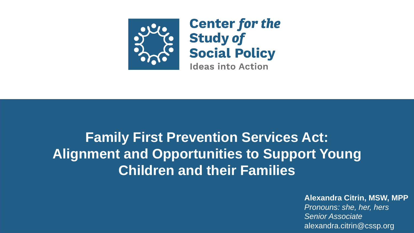

# **Family First Prevention Services Act: Alignment and Opportunities to Support Young Children and their Families**

#### **Alexandra Citrin, MSW, MPP**

*Pronouns: she, her, hers Senior Associate* alexandra.citrin@cssp.org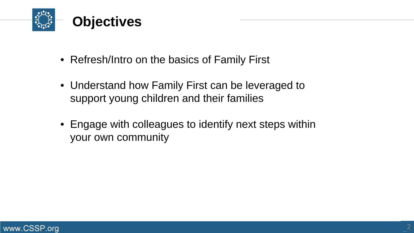

- Refresh/Intro on the basics of Family First
- Understand how Family First can be leveraged to support young children and their families
- Engage with colleagues to identify next steps within your own community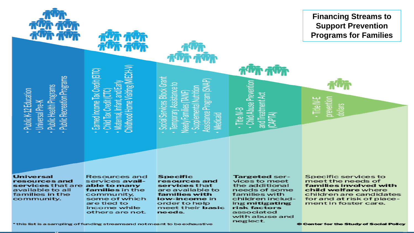

**Financing Streams to Support Prevention Programs for Families** 

- Public K-12 Education
	- Universal Pre-K
- Public Health Programs
- **Public Recreation Programs**
- Earned Income Tax Cred
	- - Child Tax Credit
- hildhood Home Visiting Maternal, Infan
- Social Services Block Grant
	- emporary Assistance to
		- eedy Families (TAN
			- Supplemental
				- ssistance Program Medicaid
- 
- Title IV-B
- **Child Abuse Preventi** and Treatment Act CAPTA)

prevention ·Title IV-E dollars

**Universal** resources and services that are able to many available to all families in the community.

Resources and services availfamilies in the community, some of which are tied to income while others are not.

**Specific** resources and services that are available to families with low-income in order to help meet their basic needs.

**Targeted ser**vices to meet the additional needs of some families with children including **mitigating** risk factors associated with abuse and neglect.

Specific services to meet the needs of families involved with child welfare where children are candidates for and at risk of placement in foster care.

\* this list is a sampling of funding streamsand not meant to be exhaustive

© Center for the Study of Social Policy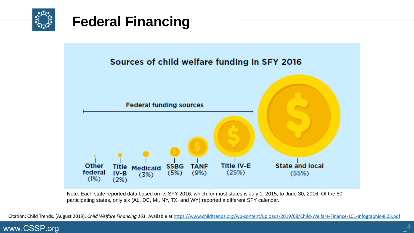



Note: Each state reported data based on its SFY 2016, which for most states is July 1, 2015, to June 30, 2016. Of the 50 participating states, only six (AL, DC, MI, NY, TX, and WY) reported a different SFY calendar.

Citation: Child Trends. (August 2019). *Child Welfare Financing 101.* Available at <https://www.childtrends.org/wp-content/uploads/2019/08/Child-Welfare-Finance-101-Infographic-8.23.pdf>

#### www.CSSP.org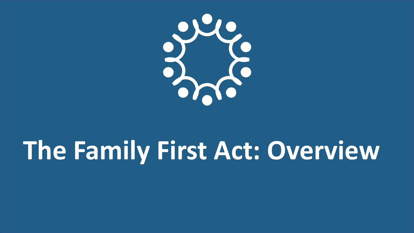

# **The Family First Act: Overview**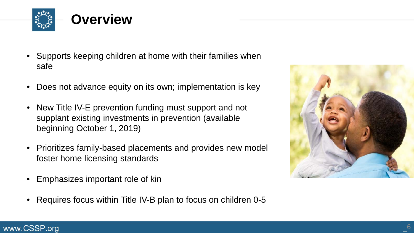

- Supports keeping children at home with their families when safe
- Does not advance equity on its own; implementation is key
- New Title IV-E prevention funding must support and not supplant existing investments in prevention (available beginning October 1, 2019)
- Prioritizes family-based placements and provides new model foster home licensing standards
- Emphasizes important role of kin
- Requires focus within Title IV-B plan to focus on children 0-5



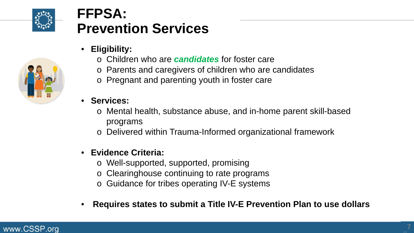

## **FFPSA: Prevention Services**

- **Eligibility:**
	- o Children who are *candidates* for foster care
	- o Parents and caregivers of children who are candidates
	- o Pregnant and parenting youth in foster care
- **Services:**
	- o Mental health, substance abuse, and in-home parent skill-based programs
	- o Delivered within Trauma-Informed organizational framework

### • **Evidence Criteria:**

- o Well-supported, supported, promising
- o Clearinghouse continuing to rate programs
- o Guidance for tribes operating IV-E systems
- **Requires states to submit a Title IV-E Prevention Plan to use dollars**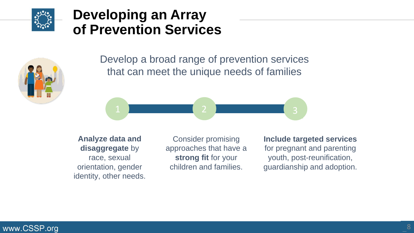

## **Developing an Array of Prevention Services**



Develop a broad range of prevention services that can meet the unique needs of families



**OHIO Analyze data and disaggregate** by race, sexual orientation, gender identity, other needs.

Consider promising approaches that have a **strong fit** for your children and families.

**Include targeted services**  for pregnant and parenting youth, post-reunification, guardianship and adoption.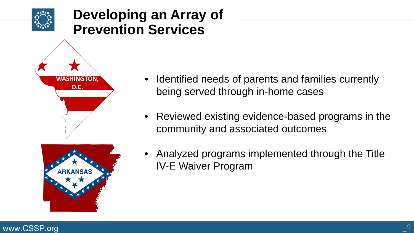

- Identified needs of parents and families currently being served through in-home cases
- Reviewed existing evidence-based programs in the community and associated outcomes
- Analyzed programs implemented through the Title IV-E Waiver Program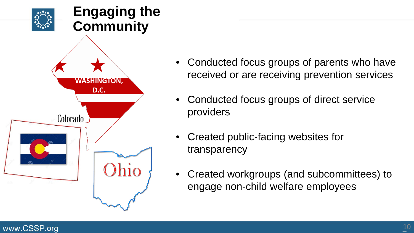

- Conducted focus groups of parents who have received or are receiving prevention services
- Conducted focus groups of direct service providers
- Created public-facing websites for transparency
- Created workgroups (and subcommittees) to engage non-child welfare employees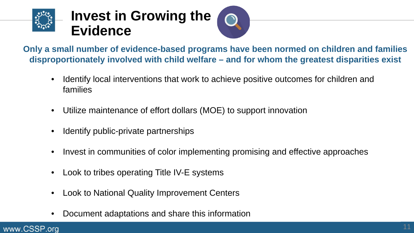



**Only a small number of evidence-based programs have been normed on children and families disproportionately involved with child welfare – and for whom the greatest disparities exist**

- Identify local interventions that work to achieve positive outcomes for children and families
- Utilize maintenance of effort dollars (MOE) to support innovation
- Identify public-private partnerships
- Invest in communities of color implementing promising and effective approaches
- Look to tribes operating Title IV-E systems
- Look to National Quality Improvement Centers
- Document adaptations and share this information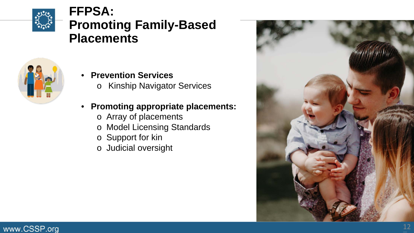

## **FFPSA: Promoting Family-Based Placements**



- **Prevention Services**
	- o Kinship Navigator Services

### • **Promoting appropriate placements:**

- o Array of placements
- o Model Licensing Standards
- o Support for kin
- o Judicial oversight

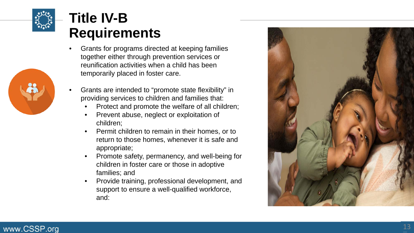

# **Title IV-B Requirements**

- Grants for programs directed at keeping families together either through prevention services or reunification activities when a child has been temporarily placed in foster care .
- Grants are intended to "promote state flexibility" in providing services to children and families that:
	- Protect and promote the welfare of all children; Prevent abuse, neglect or exploitation of
	- children;
	- Permit children to remain in their homes, or to return to those homes, whenever it is safe and appropriate;
	- Promote safety, permanency, and well -being for children in foster care or those in adoptive families; and
	- Provide training, professional development, and support to ensure a well -qualified workforce, and:



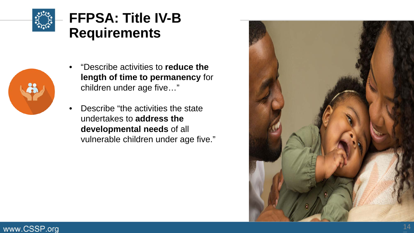

# **FFPSA: Title IV-B Requirements**



- "Describe activities to **reduce the length of time to permanency** for children under age five…"
- Describe "the activities the state undertakes to **address the developmental needs** of all vulnerable children under age five."

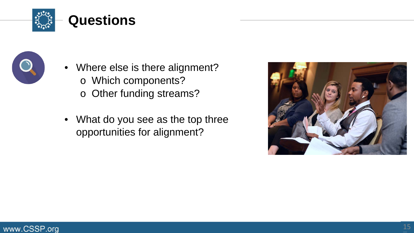



- Where else is there alignment? o Which components?
	- o Other funding streams?
- What do you see as the top three opportunities for alignment?

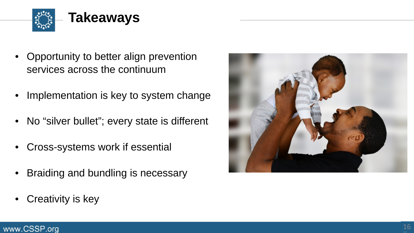

- Opportunity to better align prevention services across the continuum
- Implementation is key to system change
- No "silver bullet"; every state is different
- Cross-systems work if essential
- Braiding and bundling is necessary
- Creativity is key

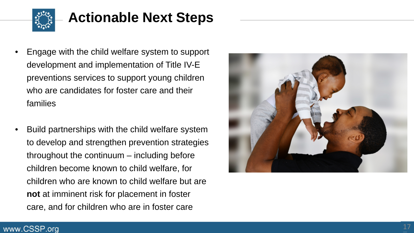

# **Actionable Next Steps**

- Engage with the child welfare system to support development and implementation of Title IV -E preventions services to support young children who are candidates for foster care and their families
- Build partnerships with the child welfare system to develop and strengthen prevention strategies throughout the continuum – including before children become known to child welfare, for children who are known to child welfare but are **not** at imminent risk for placement in foster care, and for children who are in foster care

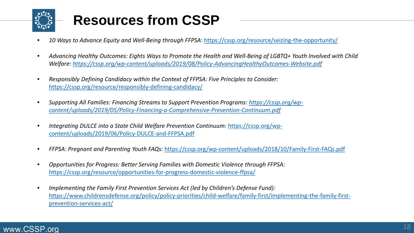

# **Resources from CSSP**

- *10 Ways to Advance Equity and Well-Being through FFPSA*:<https://cssp.org/resource/seizing-the-opportunity/>
- *Advancing Healthy Outcomes: Eights Ways to Promote the Health and Well-Being of LGBTQ+ Youth Involved with Child Welfare: <https://cssp.org/wp-content/uploads/2019/08/Policy-AdvancingHealthyOutcomes-Website.pdf>*
- *Responsibly Defining Candidacy within the Context of FFPSA: Five Principles to Consider:*  <https://cssp.org/resource/responsibly-defining-candidacy/>
- *[Supporting All Families: Financing Streams to Support Prevention Programs: https://cssp.org/wp](https://cssp.org/wp-content/uploads/2019/05/Policy-Financing-a-Comprehensive-Prevention-Continuum.pdf)content/uploads/2019/05/Policy-Financing-a-Comprehensive-Prevention-Continuum.pdf*
- *[Integrating DULCE into a State Child Welfare Prevention Continuum:](https://cssp.org/wp-content/uploads/2019/06/Policy-DULCE-and-FFPSA.pdf)* https://cssp.org/wpcontent/uploads/2019/06/Policy-DULCE-and-FFPSA.pdf
- *FFPSA: Pregnant and Parenting Youth FAQs:* <https://cssp.org/wp-content/uploads/2018/10/Family-First-FAQs.pdf>
- *Opportunities for Progress: Better Serving Families with Domestic Violence through FFPSA:*  <https://cssp.org/resource/opportunities-for-progress-domestic-violence-ffpsa/>
- *Implementing the Family First Prevention Services Act (led by Children's Defense Fund):*  [https://www.childrensdefense.org/policy/policy-priorities/child-welfare/family-first/implementing-the-family-first](https://www.childrensdefense.org/policy/policy-priorities/child-welfare/family-first/implementing-the-family-first-prevention-services-act/)prevention-services-act/